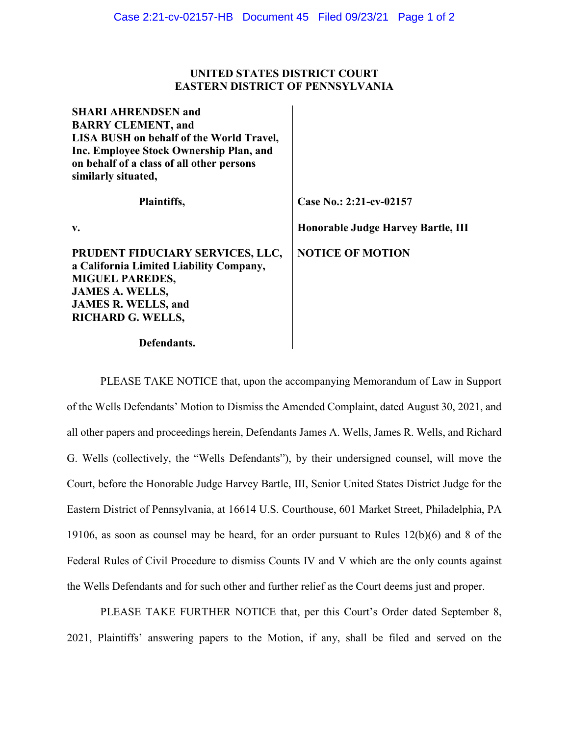#### **UNITED STATES DISTRICT COURT EASTERN DISTRICT OF PENNSYLVANIA**

| <b>SHARI AHRENDSEN and</b>                      |                                    |
|-------------------------------------------------|------------------------------------|
| <b>BARRY CLEMENT, and</b>                       |                                    |
| <b>LISA BUSH</b> on behalf of the World Travel, |                                    |
| Inc. Employee Stock Ownership Plan, and         |                                    |
| on behalf of a class of all other persons       |                                    |
| similarly situated,                             |                                    |
| Plaintiffs,                                     | Case No.: 2:21-cv-02157            |
| v.                                              | Honorable Judge Harvey Bartle, III |
| PRUDENT FIDUCIARY SERVICES, LLC,                | <b>NOTICE OF MOTION</b>            |
| a California Limited Liability Company,         |                                    |
| <b>MIGUEL PAREDES,</b>                          |                                    |
| <b>JAMES A. WELLS,</b>                          |                                    |
| <b>JAMES R. WELLS, and</b>                      |                                    |
| <b>RICHARD G. WELLS,</b>                        |                                    |
| Defendants.                                     |                                    |

PLEASE TAKE NOTICE that, upon the accompanying Memorandum of Law in Support of the Wells Defendants' Motion to Dismiss the Amended Complaint, dated August 30, 2021, and all other papers and proceedings herein, Defendants James A. Wells, James R. Wells, and Richard G. Wells (collectively, the "Wells Defendants"), by their undersigned counsel, will move the Court, before the Honorable Judge Harvey Bartle, III, Senior United States District Judge for the Eastern District of Pennsylvania, at 16614 U.S. Courthouse, 601 Market Street, Philadelphia, PA 19106, as soon as counsel may be heard, for an order pursuant to Rules 12(b)(6) and 8 of the Federal Rules of Civil Procedure to dismiss Counts IV and V which are the only counts against the Wells Defendants and for such other and further relief as the Court deems just and proper.

PLEASE TAKE FURTHER NOTICE that, per this Court's Order dated September 8, 2021, Plaintiffs' answering papers to the Motion, if any, shall be filed and served on the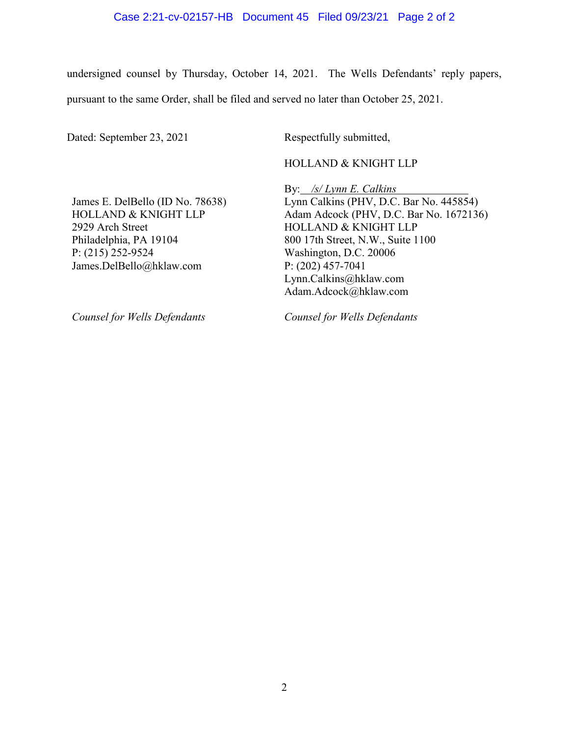#### Case 2:21-cv-02157-HB Document 45 Filed 09/23/21 Page 2 of 2

undersigned counsel by Thursday, October 14, 2021. The Wells Defendants' reply papers, pursuant to the same Order, shall be filed and served no later than October 25, 2021.

Dated: September 23, 2021 Respectfully submitted,

HOLLAND & KNIGHT LLP

James E. DelBello (ID No. 78638) HOLLAND & KNIGHT LLP 2929 Arch Street Philadelphia, PA 19104 P: (215) 252-9524 James.DelBello@hklaw.com

By: */s/ Lynn E. Calkins* Lynn Calkins (PHV, D.C. Bar No. 445854) Adam Adcock (PHV, D.C. Bar No. 1672136) HOLLAND & KNIGHT LLP 800 17th Street, N.W., Suite 1100 Washington, D.C. 20006 P: (202) 457-7041 Lynn.Calkins@hklaw.com Adam.Adcock@hklaw.com

*Counsel for Wells Defendants*

*Counsel for Wells Defendants*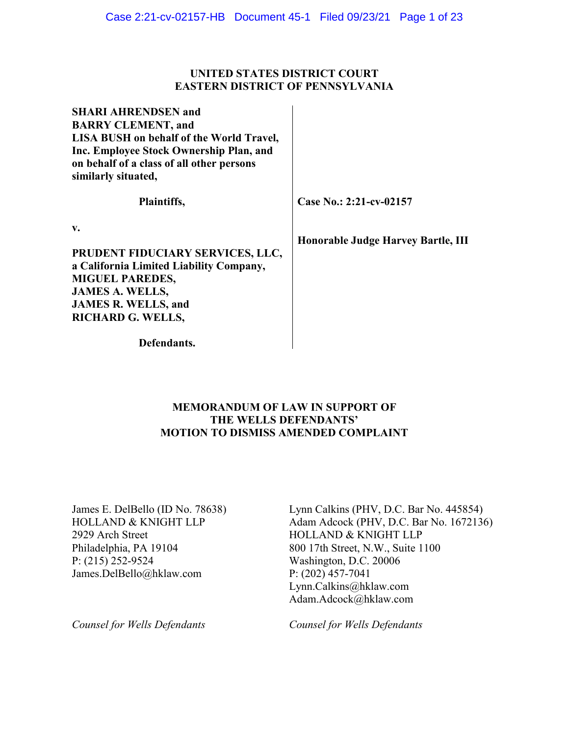### **UNITED STATES DISTRICT COURT EASTERN DISTRICT OF PENNSYLVANIA**

 $\ddot{\phantom{a}}$ 

| <b>SHARI AHRENDSEN and</b>                      |                                    |
|-------------------------------------------------|------------------------------------|
| <b>BARRY CLEMENT, and</b>                       |                                    |
| <b>LISA BUSH</b> on behalf of the World Travel, |                                    |
| Inc. Employee Stock Ownership Plan, and         |                                    |
| on behalf of a class of all other persons       |                                    |
| similarly situated,                             |                                    |
| Plaintiffs,                                     | Case No.: 2:21-cv-02157            |
| v.                                              |                                    |
|                                                 | Honorable Judge Harvey Bartle, III |
| PRUDENT FIDUCIARY SERVICES, LLC,                |                                    |
| a California Limited Liability Company,         |                                    |
| <b>MIGUEL PAREDES,</b>                          |                                    |
| <b>JAMES A. WELLS,</b>                          |                                    |
| <b>JAMES R. WELLS, and</b>                      |                                    |
| <b>RICHARD G. WELLS,</b>                        |                                    |
| Defendants.                                     |                                    |

## **MEMORANDUM OF LAW IN SUPPORT OF THE WELLS DEFENDANTS' MOTION TO DISMISS AMENDED COMPLAINT**

James E. DelBello (ID No. 78638) HOLLAND & KNIGHT LLP 2929 Arch Street Philadelphia, PA 19104 P: (215) 252-9524 James.DelBello@hklaw.com

Lynn Calkins (PHV, D.C. Bar No. 445854) Adam Adcock (PHV, D.C. Bar No. 1672136) HOLLAND & KNIGHT LLP 800 17th Street, N.W., Suite 1100 Washington, D.C. 20006 P: (202) 457-7041 Lynn.Calkins@hklaw.com Adam.Adcock@hklaw.com

*Counsel for Wells Defendants*

*Counsel for Wells Defendants*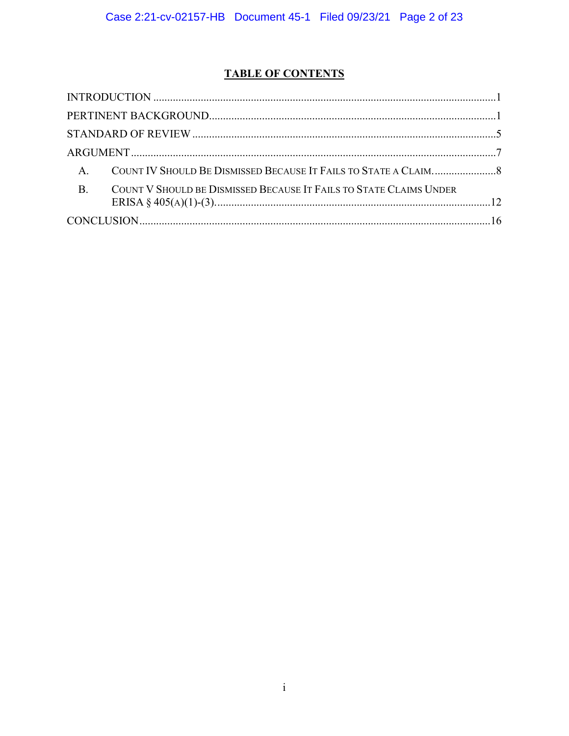# **TABLE OF CONTENTS**

| <b>A.</b>                                                                       |  |
|---------------------------------------------------------------------------------|--|
| <b>B.</b><br>COUNT V SHOULD BE DISMISSED BECAUSE IT FAILS TO STATE CLAIMS UNDER |  |
|                                                                                 |  |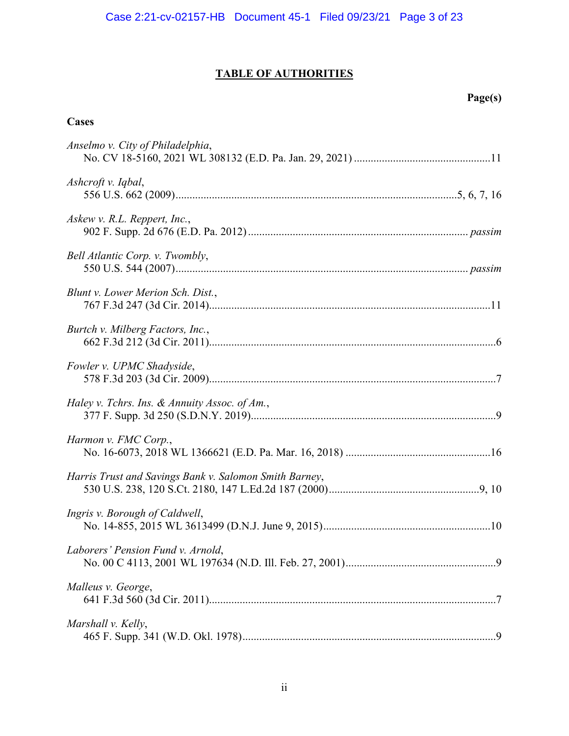# **TABLE OF AUTHORITIES**

# **Page(s)**

# **Cases**

| Anselmo v. City of Philadelphia,                       |
|--------------------------------------------------------|
| Ashcroft v. Iqbal,                                     |
| Askew v. R.L. Reppert, Inc.,                           |
| Bell Atlantic Corp. v. Twombly,                        |
| Blunt v. Lower Merion Sch. Dist.,                      |
| Burtch v. Milberg Factors, Inc.,                       |
| Fowler v. UPMC Shadyside,                              |
| Haley v. Tchrs. Ins. & Annuity Assoc. of Am.,          |
| Harmon v. FMC Corp.,                                   |
| Harris Trust and Savings Bank v. Salomon Smith Barney, |
| Ingris v. Borough of Caldwell,                         |
| Laborers' Pension Fund v. Arnold,                      |
| Malleus v. George,                                     |
| Marshall v. Kelly,                                     |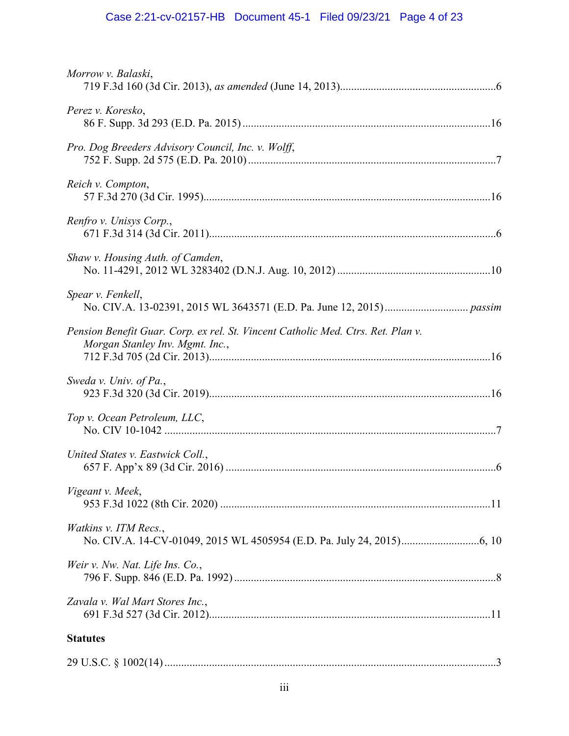# Case 2:21-cv-02157-HB Document 45-1 Filed 09/23/21 Page 4 of 23

| Morrow v. Balaski,                                                                                                  |  |
|---------------------------------------------------------------------------------------------------------------------|--|
| Perez v. Koresko,                                                                                                   |  |
| Pro. Dog Breeders Advisory Council, Inc. v. Wolff,                                                                  |  |
| Reich v. Compton,                                                                                                   |  |
| Renfro v. Unisys Corp.,                                                                                             |  |
| Shaw v. Housing Auth. of Camden,                                                                                    |  |
| Spear v. Fenkell,                                                                                                   |  |
| Pension Benefit Guar. Corp. ex rel. St. Vincent Catholic Med. Ctrs. Ret. Plan v.<br>Morgan Stanley Inv. Mgmt. Inc., |  |
| Sweda v. Univ. of Pa.,                                                                                              |  |
| Top v. Ocean Petroleum, LLC,                                                                                        |  |
| United States v. Eastwick Coll.,                                                                                    |  |
| Vigeant v. Meek,                                                                                                    |  |
| Watkins v. ITM Recs.,                                                                                               |  |
| Weir v. Nw. Nat. Life Ins. Co.,                                                                                     |  |
| Zavala v. Wal Mart Stores Inc.,                                                                                     |  |
| <b>Statutes</b>                                                                                                     |  |
|                                                                                                                     |  |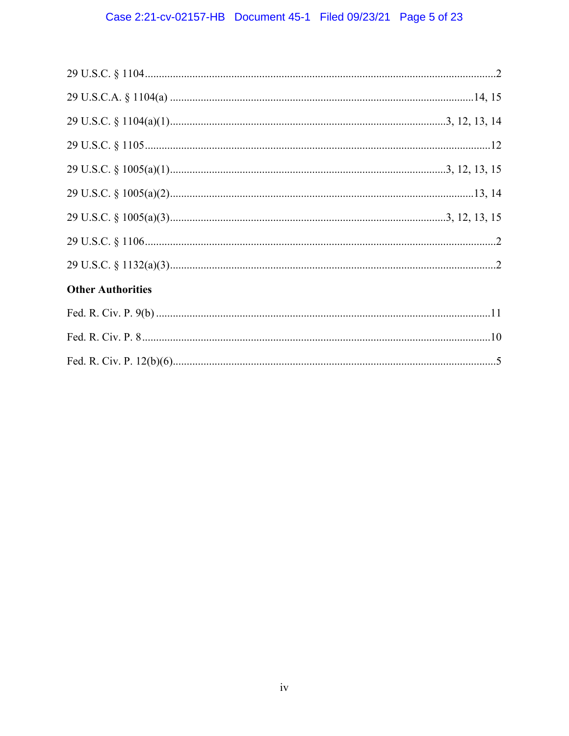# Case 2:21-cv-02157-HB Document 45-1 Filed 09/23/21 Page 5 of 23

| <b>Other Authorities</b> |  |
|--------------------------|--|
|                          |  |
|                          |  |
|                          |  |
|                          |  |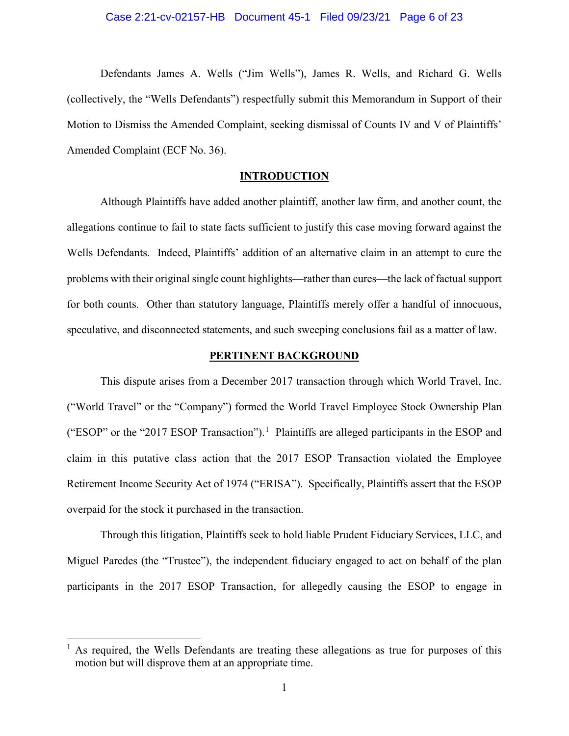#### Case 2:21-cv-02157-HB Document 45-1 Filed 09/23/21 Page 6 of 23

Defendants James A. Wells ("Jim Wells"), James R. Wells, and Richard G. Wells (collectively, the "Wells Defendants") respectfully submit this Memorandum in Support of their Motion to Dismiss the Amended Complaint, seeking dismissal of Counts IV and V of Plaintiffs' Amended Complaint (ECF No. 36).

#### **INTRODUCTION**

<span id="page-7-0"></span>Although Plaintiffs have added another plaintiff, another law firm, and another count, the allegations continue to fail to state facts sufficient to justify this case moving forward against the Wells Defendants. Indeed, Plaintiffs' addition of an alternative claim in an attempt to cure the problems with their original single count highlights—rather than cures—the lack of factual support for both counts. Other than statutory language, Plaintiffs merely offer a handful of innocuous, speculative, and disconnected statements, and such sweeping conclusions fail as a matter of law.

#### **PERTINENT BACKGROUND**

<span id="page-7-1"></span>This dispute arises from a December 2017 transaction through which World Travel, Inc. ("World Travel" or the "Company") formed the World Travel Employee Stock Ownership Plan ("ESOP" or the "20[1](#page-7-2)7 ESOP Transaction").<sup>1</sup> Plaintiffs are alleged participants in the ESOP and claim in this putative class action that the 2017 ESOP Transaction violated the Employee Retirement Income Security Act of 1974 ("ERISA"). Specifically, Plaintiffs assert that the ESOP overpaid for the stock it purchased in the transaction.

Through this litigation, Plaintiffs seek to hold liable Prudent Fiduciary Services, LLC, and Miguel Paredes (the "Trustee"), the independent fiduciary engaged to act on behalf of the plan participants in the 2017 ESOP Transaction, for allegedly causing the ESOP to engage in

<span id="page-7-2"></span> <sup>1</sup> As required, the Wells Defendants are treating these allegations as true for purposes of this motion but will disprove them at an appropriate time.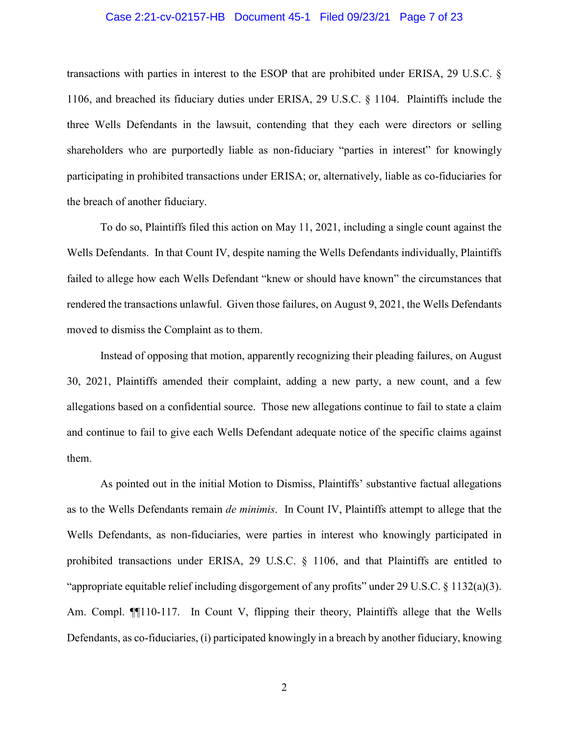#### <span id="page-8-1"></span><span id="page-8-0"></span>Case 2:21-cv-02157-HB Document 45-1 Filed 09/23/21 Page 7 of 23

transactions with parties in interest to the ESOP that are prohibited under ERISA, 29 U.S.C. § 1106, and breached its fiduciary duties under ERISA, 29 U.S.C. § 1104. Plaintiffs include the three Wells Defendants in the lawsuit, contending that they each were directors or selling shareholders who are purportedly liable as non-fiduciary "parties in interest" for knowingly participating in prohibited transactions under ERISA; or, alternatively, liable as co-fiduciaries for the breach of another fiduciary.

To do so, Plaintiffs filed this action on May 11, 2021, including a single count against the Wells Defendants. In that Count IV, despite naming the Wells Defendants individually, Plaintiffs failed to allege how each Wells Defendant "knew or should have known" the circumstances that rendered the transactions unlawful. Given those failures, on August 9, 2021, the Wells Defendants moved to dismiss the Complaint as to them.

Instead of opposing that motion, apparently recognizing their pleading failures, on August 30, 2021, Plaintiffs amended their complaint, adding a new party, a new count, and a few allegations based on a confidential source. Those new allegations continue to fail to state a claim and continue to fail to give each Wells Defendant adequate notice of the specific claims against them.

<span id="page-8-2"></span>As pointed out in the initial Motion to Dismiss, Plaintiffs' substantive factual allegations as to the Wells Defendants remain *de minimis*. In Count IV, Plaintiffs attempt to allege that the Wells Defendants, as non-fiduciaries, were parties in interest who knowingly participated in prohibited transactions under ERISA, 29 U.S.C. § 1106, and that Plaintiffs are entitled to "appropriate equitable relief including disgorgement of any profits" under 29 U.S.C.  $\S$  1132(a)(3). Am. Compl. ¶¶110-117. In Count V, flipping their theory, Plaintiffs allege that the Wells Defendants, as co-fiduciaries, (i) participated knowingly in a breach by another fiduciary, knowing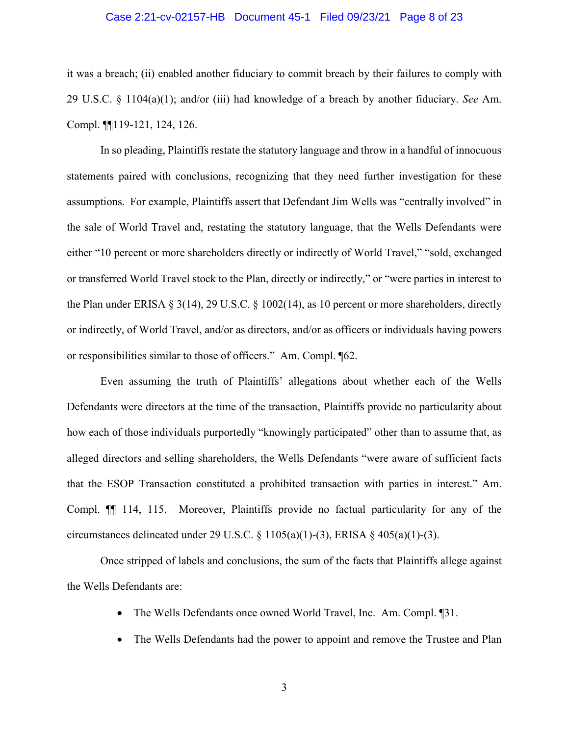#### Case 2:21-cv-02157-HB Document 45-1 Filed 09/23/21 Page 8 of 23

<span id="page-9-1"></span>it was a breach; (ii) enabled another fiduciary to commit breach by their failures to comply with 29 U.S.C. § 1104(a)(1); and/or (iii) had knowledge of a breach by another fiduciary. *See* Am. Compl. ¶¶119-121, 124, 126.

In so pleading, Plaintiffs restate the statutory language and throw in a handful of innocuous statements paired with conclusions, recognizing that they need further investigation for these assumptions. For example, Plaintiffs assert that Defendant Jim Wells was "centrally involved" in the sale of World Travel and, restating the statutory language, that the Wells Defendants were either "10 percent or more shareholders directly or indirectly of World Travel," "sold, exchanged or transferred World Travel stock to the Plan, directly or indirectly," or "were parties in interest to the Plan under ERISA  $\S 3(14)$ , 29 U.S.C.  $\S 1002(14)$ , as 10 percent or more shareholders, directly or indirectly, of World Travel, and/or as directors, and/or as officers or individuals having powers or responsibilities similar to those of officers." Am. Compl. ¶62.

<span id="page-9-0"></span>Even assuming the truth of Plaintiffs' allegations about whether each of the Wells Defendants were directors at the time of the transaction, Plaintiffs provide no particularity about how each of those individuals purportedly "knowingly participated" other than to assume that, as alleged directors and selling shareholders, the Wells Defendants "were aware of sufficient facts that the ESOP Transaction constituted a prohibited transaction with parties in interest." Am. Compl. ¶¶ 114, 115. Moreover, Plaintiffs provide no factual particularity for any of the circumstances delineated under 29 U.S.C.  $\S$  1105(a)(1)-(3), ERISA  $\S$  405(a)(1)-(3).

Once stripped of labels and conclusions, the sum of the facts that Plaintiffs allege against the Wells Defendants are:

- The Wells Defendants once owned World Travel, Inc. Am. Compl. [31.]
- The Wells Defendants had the power to appoint and remove the Trustee and Plan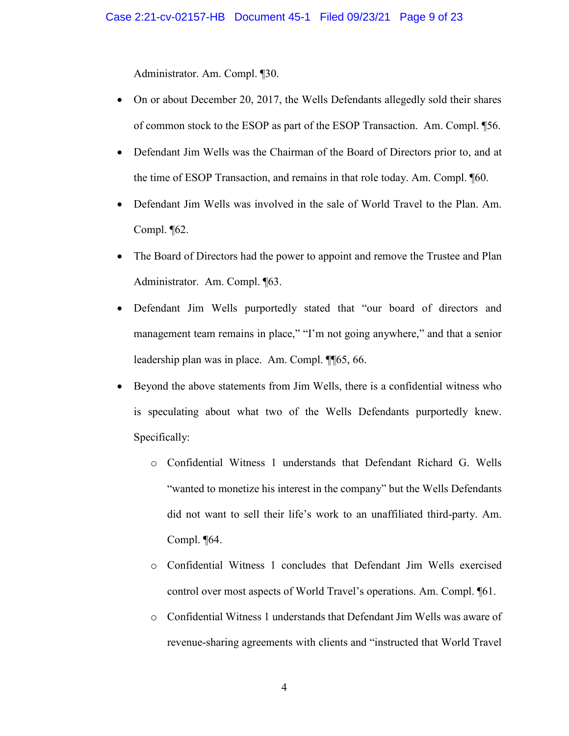Administrator. Am. Compl. ¶30.

- On or about December 20, 2017, the Wells Defendants allegedly sold their shares of common stock to the ESOP as part of the ESOP Transaction. Am. Compl. ¶56.
- Defendant Jim Wells was the Chairman of the Board of Directors prior to, and at the time of ESOP Transaction, and remains in that role today. Am. Compl. ¶60.
- Defendant Jim Wells was involved in the sale of World Travel to the Plan. Am. Compl.  $\P$ 62.
- The Board of Directors had the power to appoint and remove the Trustee and Plan Administrator. Am. Compl. ¶63.
- Defendant Jim Wells purportedly stated that "our board of directors and management team remains in place," "I'm not going anywhere," and that a senior leadership plan was in place. Am. Compl. ¶¶65, 66.
- Beyond the above statements from Jim Wells, there is a confidential witness who is speculating about what two of the Wells Defendants purportedly knew. Specifically:
	- o Confidential Witness 1 understands that Defendant Richard G. Wells "wanted to monetize his interest in the company" but the Wells Defendants did not want to sell their life's work to an unaffiliated third-party. Am. Compl. ¶64.
	- o Confidential Witness 1 concludes that Defendant Jim Wells exercised control over most aspects of World Travel's operations. Am. Compl. ¶61.
	- o Confidential Witness 1 understands that Defendant Jim Wells was aware of revenue-sharing agreements with clients and "instructed that World Travel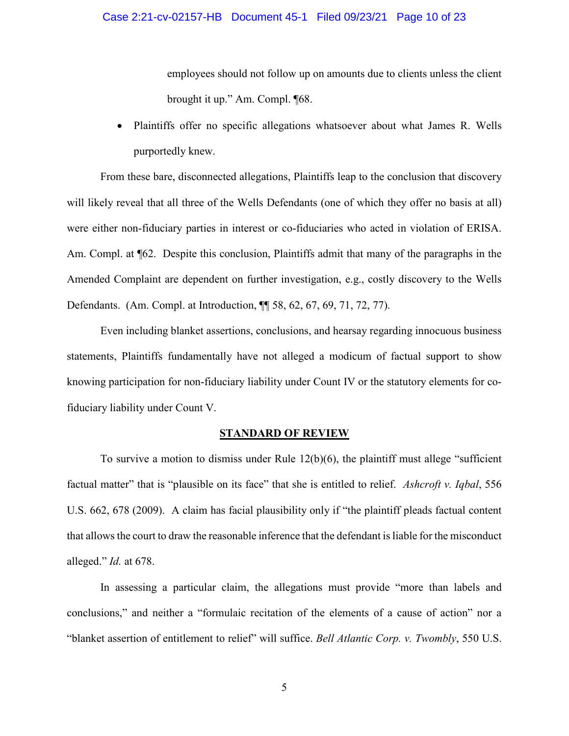employees should not follow up on amounts due to clients unless the client brought it up." Am. Compl. ¶68.

• Plaintiffs offer no specific allegations whatsoever about what James R. Wells purportedly knew.

From these bare, disconnected allegations, Plaintiffs leap to the conclusion that discovery will likely reveal that all three of the Wells Defendants (one of which they offer no basis at all) were either non-fiduciary parties in interest or co-fiduciaries who acted in violation of ERISA. Am. Compl. at  $\P62$ . Despite this conclusion, Plaintiffs admit that many of the paragraphs in the Amended Complaint are dependent on further investigation, e.g., costly discovery to the Wells Defendants. (Am. Compl. at Introduction, ¶¶ 58, 62, 67, 69, 71, 72, 77).

Even including blanket assertions, conclusions, and hearsay regarding innocuous business statements, Plaintiffs fundamentally have not alleged a modicum of factual support to show knowing participation for non-fiduciary liability under Count IV or the statutory elements for cofiduciary liability under Count V.

#### <span id="page-11-3"></span><span id="page-11-2"></span><span id="page-11-1"></span>**STANDARD OF REVIEW**

<span id="page-11-0"></span>To survive a motion to dismiss under Rule  $12(b)(6)$ , the plaintiff must allege "sufficient" factual matter" that is "plausible on its face" that she is entitled to relief. *Ashcroft v. Iqbal*, 556 U.S. 662, 678 (2009). A claim has facial plausibility only if "the plaintiff pleads factual content that allows the court to draw the reasonable inference that the defendant is liable for the misconduct alleged." *Id.* at 678.

In assessing a particular claim, the allegations must provide "more than labels and conclusions," and neither a "formulaic recitation of the elements of a cause of action" nor a "blanket assertion of entitlement to relief" will suffice. *Bell Atlantic Corp. v. Twombly*, 550 U.S.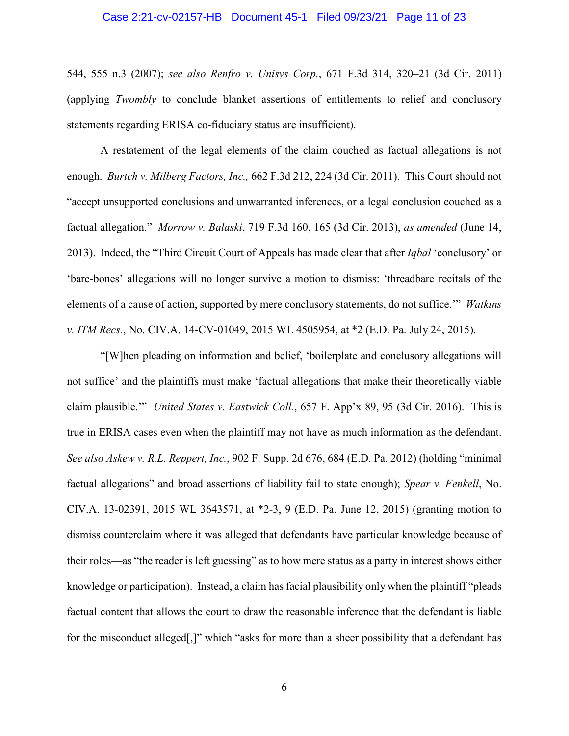#### <span id="page-12-4"></span>Case 2:21-cv-02157-HB Document 45-1 Filed 09/23/21 Page 11 of 23

544, 555 n.3 (2007); *see also Renfro v. Unisys Corp.*, 671 F.3d 314, 320–21 (3d Cir. 2011) (applying *Twombly* to conclude blanket assertions of entitlements to relief and conclusory statements regarding ERISA co-fiduciary status are insufficient).

<span id="page-12-3"></span><span id="page-12-2"></span><span id="page-12-0"></span>A restatement of the legal elements of the claim couched as factual allegations is not enough. *Burtch v. Milberg Factors, Inc.,* 662 F.3d 212, 224 (3d Cir. 2011). This Court should not "accept unsupported conclusions and unwarranted inferences, or a legal conclusion couched as a factual allegation." *Morrow v. Balaski*, 719 F.3d 160, 165 (3d Cir. 2013), *as amended* (June 14, 2013). Indeed, the "Third Circuit Court of Appeals has made clear that after *Iqbal* 'conclusory' or 'bare-bones' allegations will no longer survive a motion to dismiss: 'threadbare recitals of the elements of a cause of action, supported by mere conclusory statements, do not suffice.'" *Watkins v. ITM Recs.*, No. CIV.A. 14-CV-01049, 2015 WL 4505954, at \*2 (E.D. Pa. July 24, 2015).

<span id="page-12-7"></span><span id="page-12-6"></span><span id="page-12-5"></span><span id="page-12-1"></span>"[W]hen pleading on information and belief, 'boilerplate and conclusory allegations will not suffice' and the plaintiffs must make 'factual allegations that make their theoretically viable claim plausible.'" *United States v. Eastwick Coll.*, 657 F. App'x 89, 95 (3d Cir. 2016). This is true in ERISA cases even when the plaintiff may not have as much information as the defendant. *See also Askew v. R.L. Reppert, Inc.*, 902 F. Supp. 2d 676, 684 (E.D. Pa. 2012) (holding "minimal factual allegations" and broad assertions of liability fail to state enough); *Spear v. Fenkell*, No. CIV.A. 13-02391, 2015 WL 3643571, at \*2-3, 9 (E.D. Pa. June 12, 2015) (granting motion to dismiss counterclaim where it was alleged that defendants have particular knowledge because of their roles—as "the reader is left guessing" as to how mere status as a party in interest shows either knowledge or participation). Instead, a claim has facial plausibility only when the plaintiff "pleads factual content that allows the court to draw the reasonable inference that the defendant is liable for the misconduct alleged[,]" which "asks for more than a sheer possibility that a defendant has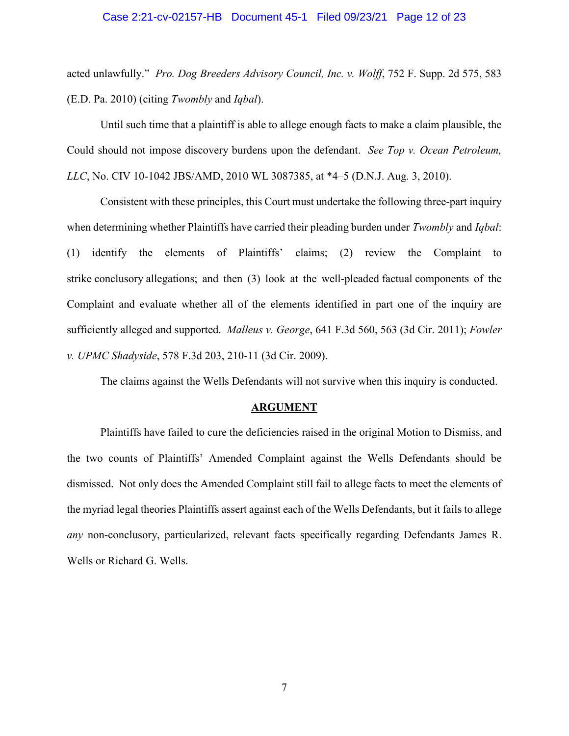#### <span id="page-13-4"></span>Case 2:21-cv-02157-HB Document 45-1 Filed 09/23/21 Page 12 of 23

acted unlawfully." *Pro. Dog Breeders Advisory Council, Inc. v. Wolff*, 752 F. Supp. 2d 575, 583 (E.D. Pa. 2010) (citing *Twombly* and *Iqbal*).

Until such time that a plaintiff is able to allege enough facts to make a claim plausible, the Could should not impose discovery burdens upon the defendant. *See Top v. Ocean Petroleum, LLC*, No. CIV 10-1042 JBS/AMD, 2010 WL 3087385, at \*4–5 (D.N.J. Aug. 3, 2010).

Consistent with these principles, this Court must undertake the following three-part inquiry when determining whether Plaintiffs have carried their pleading burden under *Twombly* and *Iqbal*: (1) identify the elements of Plaintiffs' claims; (2) review the Complaint to strike conclusory allegations; and then (3) look at the well-pleaded factual components of the Complaint and evaluate whether all of the elements identified in part one of the inquiry are sufficiently alleged and supported. *Malleus v. George*, 641 F.3d 560, 563 (3d Cir. 2011); *Fowler v. UPMC Shadyside*, 578 F.3d 203, 210-11 (3d Cir. 2009).

The claims against the Wells Defendants will not survive when this inquiry is conducted.

#### <span id="page-13-5"></span><span id="page-13-3"></span><span id="page-13-2"></span><span id="page-13-1"></span>**ARGUMENT**

<span id="page-13-0"></span>Plaintiffs have failed to cure the deficiencies raised in the original Motion to Dismiss, and the two counts of Plaintiffs' Amended Complaint against the Wells Defendants should be dismissed. Not only does the Amended Complaint still fail to allege facts to meet the elements of the myriad legal theories Plaintiffs assert against each of the Wells Defendants, but it fails to allege *any* non-conclusory, particularized, relevant facts specifically regarding Defendants James R. Wells or Richard G. Wells.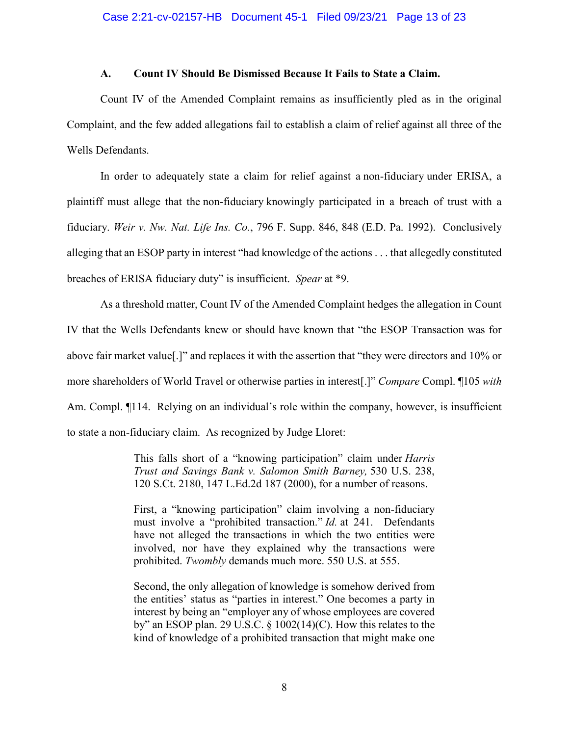#### **A. Count IV Should Be Dismissed Because It Fails to State a Claim.**

<span id="page-14-0"></span>Count IV of the Amended Complaint remains as insufficiently pled as in the original Complaint, and the few added allegations fail to establish a claim of relief against all three of the Wells Defendants.

<span id="page-14-1"></span>In order to adequately state a claim for relief against a non-fiduciary under ERISA, a plaintiff must allege that the non-fiduciary knowingly participated in a breach of trust with a fiduciary. *Weir v. Nw. Nat. Life Ins. Co.*, 796 F. Supp. 846, 848 (E.D. Pa. 1992). Conclusively alleging that an ESOP party in interest "had knowledge of the actions . . . that allegedly constituted breaches of ERISA fiduciary duty" is insufficient. *Spear* at \*9.

As a threshold matter, Count IV of the Amended Complaint hedges the allegation in Count IV that the Wells Defendants knew or should have known that "the ESOP Transaction was for above fair market value[.]" and replaces it with the assertion that "they were directors and 10% or more shareholders of World Travel or otherwise parties in interest[.]" *Compare* Compl. ¶105 *with* Am. Compl.  $\P$ 114. Relying on an individual's role within the company, however, is insufficient to state a non-fiduciary claim. As recognized by Judge Lloret:

> This falls short of a "knowing participation" claim under *Harris Trust and Savings Bank v. Salomon Smith Barney,* 530 U.S. 238, 120 S.Ct. 2180, 147 L.Ed.2d 187 (2000), for a number of reasons.

> First, a "knowing participation" claim involving a non-fiduciary must involve a "prohibited transaction." *Id.* at 241. Defendants have not alleged the transactions in which the two entities were involved, nor have they explained why the transactions were prohibited. *Twombly* demands much more. 550 U.S. at 555.

> Second, the only allegation of knowledge is somehow derived from the entities' status as "parties in interest." One becomes a party in interest by being an "employer any of whose employees are covered by" an ESOP plan. 29 U.S.C. § 1002(14)(C). How this relates to the kind of knowledge of a prohibited transaction that might make one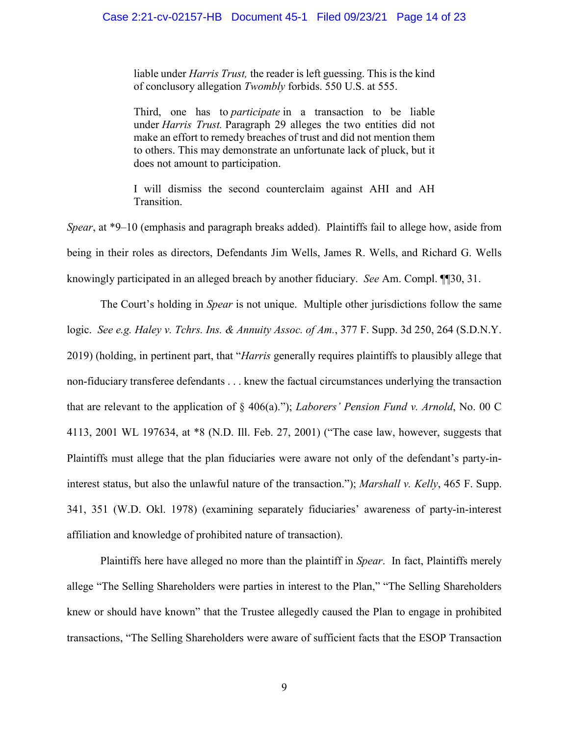liable under *Harris Trust,* the reader is left guessing. This is the kind of conclusory allegation *Twombly* forbids. 550 U.S. at 555.

Third, one has to *participate* in a transaction to be liable under *Harris Trust.* Paragraph 29 alleges the two entities did not make an effort to remedy breaches of trust and did not mention them to others. This may demonstrate an unfortunate lack of pluck, but it does not amount to participation.

I will dismiss the second counterclaim against AHI and AH Transition.

*Spear*, at \*9–10 (emphasis and paragraph breaks added). Plaintiffs fail to allege how, aside from being in their roles as directors, Defendants Jim Wells, James R. Wells, and Richard G. Wells knowingly participated in an alleged breach by another fiduciary. *See* Am. Compl. ¶¶30, 31.

<span id="page-15-2"></span><span id="page-15-1"></span><span id="page-15-0"></span>The Court's holding in *Spear* is not unique. Multiple other jurisdictions follow the same logic. *See e.g. Haley v. Tchrs. Ins. & Annuity Assoc. of Am.*, 377 F. Supp. 3d 250, 264 (S.D.N.Y. 2019) (holding, in pertinent part, that "*Harris* generally requires plaintiffs to plausibly allege that non-fiduciary transferee defendants . . . knew the factual circumstances underlying the transaction that are relevant to the application of § 406(a)."); *Laborers' Pension Fund v. Arnold*, No. 00 C 4113, 2001 WL 197634, at \*8 (N.D. Ill. Feb. 27, 2001) ("The case law, however, suggests that Plaintiffs must allege that the plan fiduciaries were aware not only of the defendant's party-ininterest status, but also the unlawful nature of the transaction."); *Marshall v. Kelly*, 465 F. Supp. 341, 351 (W.D. Okl. 1978) (examining separately fiduciaries' awareness of party-in-interest affiliation and knowledge of prohibited nature of transaction).

<span id="page-15-3"></span>Plaintiffs here have alleged no more than the plaintiff in *Spear*. In fact, Plaintiffs merely allege "The Selling Shareholders were parties in interest to the Plan," "The Selling Shareholders knew or should have known" that the Trustee allegedly caused the Plan to engage in prohibited transactions, "The Selling Shareholders were aware of sufficient facts that the ESOP Transaction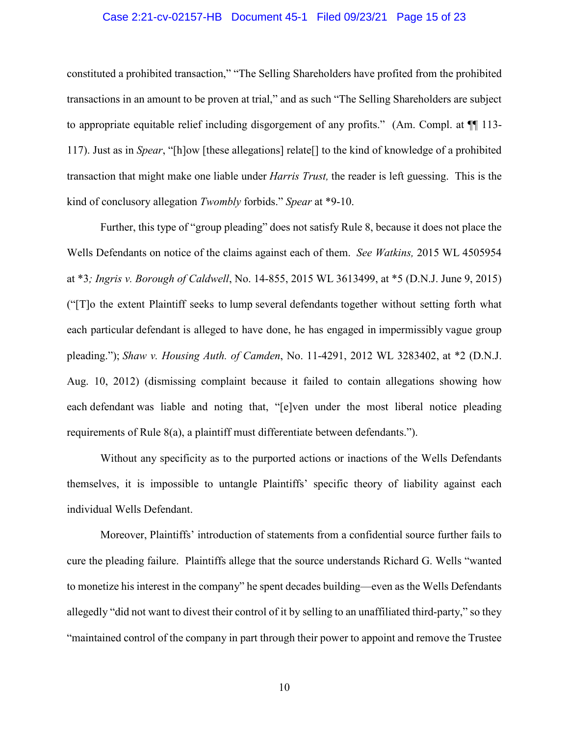#### Case 2:21-cv-02157-HB Document 45-1 Filed 09/23/21 Page 15 of 23

constituted a prohibited transaction," "The Selling Shareholders have profited from the prohibited transactions in an amount to be proven at trial," and as such "The Selling Shareholders are subject to appropriate equitable relief including disgorgement of any profits." (Am. Compl. at  $\P$  113-117). Just as in *Spear*, "[h]ow [these allegations] relate[] to the kind of knowledge of a prohibited transaction that might make one liable under *Harris Trust,* the reader is left guessing. This is the kind of conclusory allegation *Twombly* forbids." *Spear* at \*9-10.

<span id="page-16-4"></span><span id="page-16-3"></span><span id="page-16-1"></span><span id="page-16-0"></span>Further, this type of "group pleading" does not satisfy Rule 8, because it does not place the Wells Defendants on notice of the claims against each of them. *See Watkins,* 2015 WL 4505954 at \*3*; Ingris v. Borough of Caldwell*, No. 14-855, 2015 WL 3613499, at \*5 (D.N.J. June 9, 2015) ("[T]o the extent Plaintiff seeks to lump several defendants together without setting forth what each particular defendant is alleged to have done, he has engaged in impermissibly vague group pleading."); *Shaw v. Housing Auth. of Camden*, No. 11-4291, 2012 WL 3283402, at \*2 (D.N.J. Aug. 10, 2012) (dismissing complaint because it failed to contain allegations showing how each defendant was liable and noting that, "[e]ven under the most liberal notice pleading requirements of Rule 8(a), a plaintiff must differentiate between defendants.").

<span id="page-16-2"></span>Without any specificity as to the purported actions or inactions of the Wells Defendants themselves, it is impossible to untangle Plaintiffs' specific theory of liability against each individual Wells Defendant.

Moreover, Plaintiffs' introduction of statements from a confidential source further fails to cure the pleading failure. Plaintiffs allege that the source understands Richard G. Wells "wanted to monetize his interest in the company" he spent decades building—even as the Wells Defendants allegedly "did not want to divest their control of it by selling to an unaffiliated third-party," so they "maintained control of the company in part through their power to appoint and remove the Trustee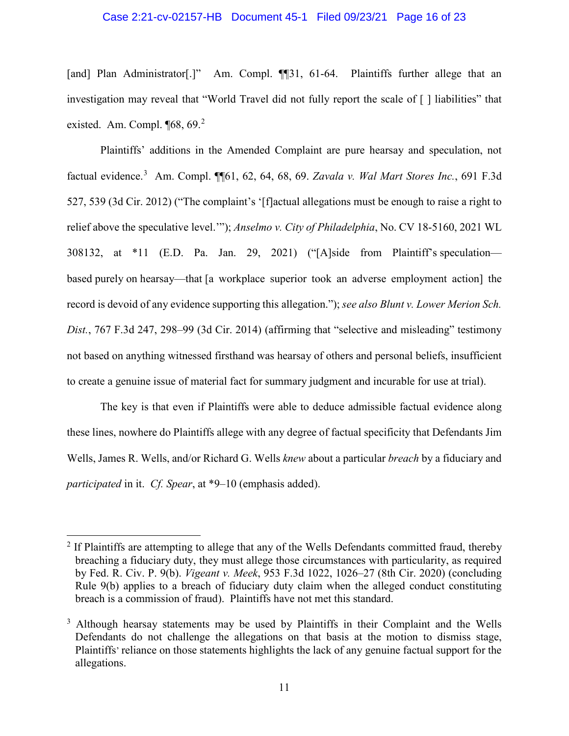#### Case 2:21-cv-02157-HB Document 45-1 Filed 09/23/21 Page 16 of 23

[and] Plan Administrator[.]" Am. Compl. [[31, 61-64. Plaintiffs further allege that an investigation may reveal that "World Travel did not fully report the scale of [ ] liabilities" that existed. Am. Compl. ¶68, 69.<sup>[2](#page-17-5)</sup>

<span id="page-17-3"></span><span id="page-17-0"></span>Plaintiffs' additions in the Amended Complaint are pure hearsay and speculation, not factual evidence. [3](#page-17-6) Am. Compl. ¶¶61, 62, 64, 68, 69. *Zavala v. Wal Mart Stores Inc.*, 691 F.3d 527, 539 (3d Cir. 2012) ("The complaint's '[f]actual allegations must be enough to raise a right to relief above the speculative level.'"); *Anselmo v. City of Philadelphia*, No. CV 18-5160, 2021 WL 308132, at \*11 (E.D. Pa. Jan. 29, 2021) ("[A]side from Plaintiff's speculation based purely on hearsay—that [a workplace superior took an adverse employment action] the record is devoid of any evidence supporting this allegation."); *see also Blunt v. Lower Merion Sch. Dist.*, 767 F.3d 247, 298–99 (3d Cir. 2014) (affirming that "selective and misleading" testimony not based on anything witnessed firsthand was hearsay of others and personal beliefs, insufficient to create a genuine issue of material fact for summary judgment and incurable for use at trial).

<span id="page-17-1"></span>The key is that even if Plaintiffs were able to deduce admissible factual evidence along these lines, nowhere do Plaintiffs allege with any degree of factual specificity that Defendants Jim Wells, James R. Wells, and/or Richard G. Wells *knew* about a particular *breach* by a fiduciary and *participated* in it. *Cf. Spear*, at \*9–10 (emphasis added).

<span id="page-17-5"></span><span id="page-17-4"></span><span id="page-17-2"></span><sup>&</sup>lt;sup>2</sup> If Plaintiffs are attempting to allege that any of the Wells Defendants committed fraud, thereby breaching a fiduciary duty, they must allege those circumstances with particularity, as required by Fed. R. Civ. P. 9(b). *Vigeant v. Meek*, 953 F.3d 1022, 1026–27 (8th Cir. 2020) (concluding Rule 9(b) applies to a breach of fiduciary duty claim when the alleged conduct constituting breach is a commission of fraud). Plaintiffs have not met this standard.

<span id="page-17-6"></span><sup>&</sup>lt;sup>3</sup> Although hearsay statements may be used by Plaintiffs in their Complaint and the Wells Defendants do not challenge the allegations on that basis at the motion to dismiss stage, Plaintiffs' reliance on those statements highlights the lack of any genuine factual support for the allegations.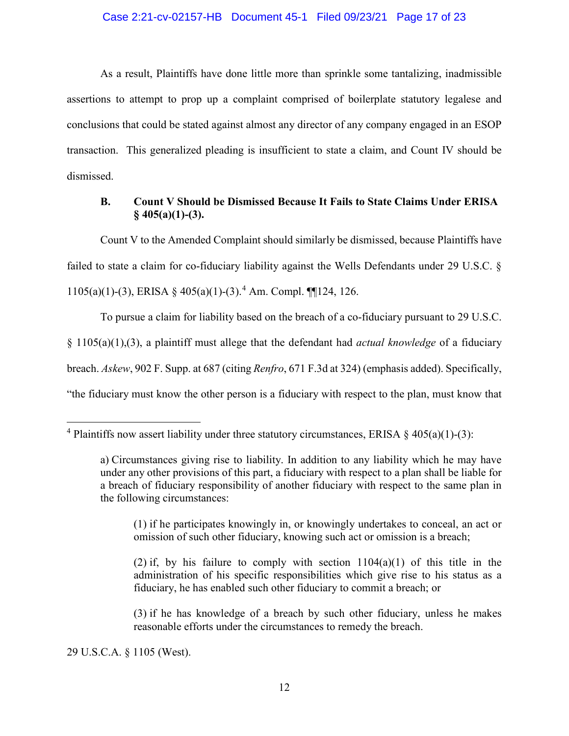#### Case 2:21-cv-02157-HB Document 45-1 Filed 09/23/21 Page 17 of 23

As a result, Plaintiffs have done little more than sprinkle some tantalizing, inadmissible assertions to attempt to prop up a complaint comprised of boilerplate statutory legalese and conclusions that could be stated against almost any director of any company engaged in an ESOP transaction. This generalized pleading is insufficient to state a claim, and Count IV should be dismissed.

### <span id="page-18-0"></span>**B. Count V Should be Dismissed Because It Fails to State Claims Under ERISA § 405(a)(1)-(3).**

Count V to the Amended Complaint should similarly be dismissed, because Plaintiffs have failed to state a claim for co-fiduciary liability against the Wells Defendants under 29 U.S.C. § 1105(a)(1)-(3), ERISA § [4](#page-18-3)05(a)(1)-(3).<sup>4</sup> Am. Compl. ¶[124, 126.

To pursue a claim for liability based on the breach of a co-fiduciary pursuant to 29 U.S.C. § 1105(a)(1),(3), a plaintiff must allege that the defendant had *actual knowledge* of a fiduciary breach. *Askew*, 902 F. Supp. at 687 (citing *Renfro*, 671 F.3d at 324) (emphasis added). Specifically, "the fiduciary must know the other person is a fiduciary with respect to the plan, must know that

(1) if he participates knowingly in, or knowingly undertakes to conceal, an act or omission of such other fiduciary, knowing such act or omission is a breach;

<span id="page-18-1"></span>(2) if, by his failure to comply with section  $1104(a)(1)$  of this title in the administration of his specific responsibilities which give rise to his status as a fiduciary, he has enabled such other fiduciary to commit a breach; or

(3) if he has knowledge of a breach by such other fiduciary, unless he makes reasonable efforts under the circumstances to remedy the breach.

<span id="page-18-2"></span>29 U.S.C.A. § 1105 (West).

<span id="page-18-3"></span><sup>&</sup>lt;sup>4</sup> Plaintiffs now assert liability under three statutory circumstances, ERISA  $\S$  405(a)(1)-(3):

a) Circumstances giving rise to liability. In addition to any liability which he may have under any other provisions of this part, a fiduciary with respect to a plan shall be liable for a breach of fiduciary responsibility of another fiduciary with respect to the same plan in the following circumstances: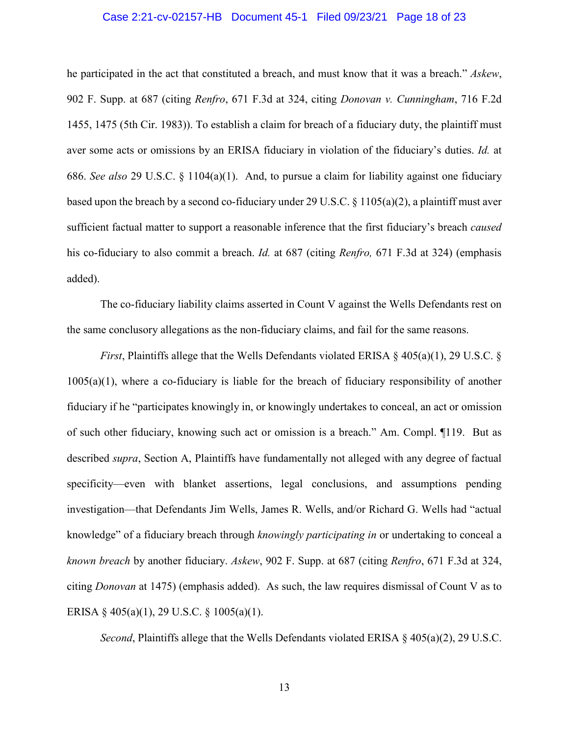#### Case 2:21-cv-02157-HB Document 45-1 Filed 09/23/21 Page 18 of 23

<span id="page-19-0"></span>he participated in the act that constituted a breach, and must know that it was a breach." *Askew*, 902 F. Supp. at 687 (citing *Renfro*, 671 F.3d at 324, citing *Donovan v. Cunningham*, 716 F.2d 1455, 1475 (5th Cir. 1983)). To establish a claim for breach of a fiduciary duty, the plaintiff must aver some acts or omissions by an ERISA fiduciary in violation of the fiduciary's duties. *Id.* at 686. *See also* 29 U.S.C. § 1104(a)(1). And, to pursue a claim for liability against one fiduciary based upon the breach by a second co-fiduciary under 29 U.S.C.  $\S 1105(a)(2)$ , a plaintiff must aver sufficient factual matter to support a reasonable inference that the first fiduciary's breach *caused* his co-fiduciary to also commit a breach. *Id.* at 687 (citing *Renfro,* 671 F.3d at 324) (emphasis added).

The co-fiduciary liability claims asserted in Count V against the Wells Defendants rest on the same conclusory allegations as the non-fiduciary claims, and fail for the same reasons.

<span id="page-19-1"></span>*First*, Plaintiffs allege that the Wells Defendants violated ERISA § 405(a)(1), 29 U.S.C. § 1005(a)(1), where a co-fiduciary is liable for the breach of fiduciary responsibility of another fiduciary if he "participates knowingly in, or knowingly undertakes to conceal, an act or omission of such other fiduciary, knowing such act or omission is a breach." Am. Compl. ¶119. But as described *supra*, Section A, Plaintiffs have fundamentally not alleged with any degree of factual specificity—even with blanket assertions, legal conclusions, and assumptions pending investigation—that Defendants Jim Wells, James R. Wells, and/or Richard G. Wells had "actual knowledge" of a fiduciary breach through *knowingly participating in* or undertaking to conceal a *known breach* by another fiduciary. *Askew*, 902 F. Supp. at 687 (citing *Renfro*, 671 F.3d at 324, citing *Donovan* at 1475) (emphasis added). As such, the law requires dismissal of Count V as to ERISA § 405(a)(1), 29 U.S.C. § 1005(a)(1).

<span id="page-19-2"></span>*Second*, Plaintiffs allege that the Wells Defendants violated ERISA § 405(a)(2), 29 U.S.C.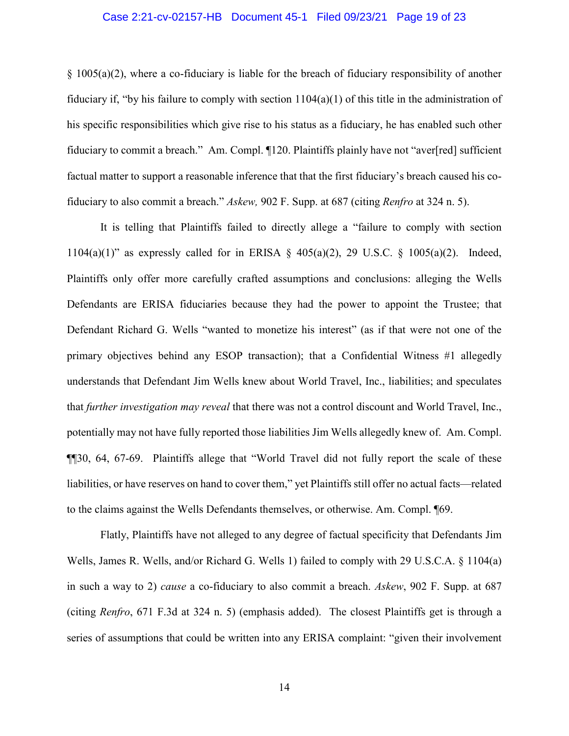#### <span id="page-20-1"></span>Case 2:21-cv-02157-HB Document 45-1 Filed 09/23/21 Page 19 of 23

§ 1005(a)(2), where a co-fiduciary is liable for the breach of fiduciary responsibility of another fiduciary if, "by his failure to comply with section  $1104(a)(1)$  of this title in the administration of his specific responsibilities which give rise to his status as a fiduciary, he has enabled such other fiduciary to commit a breach." Am. Compl. ¶120. Plaintiffs plainly have not "aver[red] sufficient factual matter to support a reasonable inference that that the first fiduciary's breach caused his cofiduciary to also commit a breach." *Askew,* 902 F. Supp. at 687 (citing *Renfro* at 324 n. 5).

<span id="page-20-2"></span>It is telling that Plaintiffs failed to directly allege a "failure to comply with section 1104(a)(1)" as expressly called for in ERISA  $\S$  405(a)(2), 29 U.S.C.  $\S$  1005(a)(2). Indeed, Plaintiffs only offer more carefully crafted assumptions and conclusions: alleging the Wells Defendants are ERISA fiduciaries because they had the power to appoint the Trustee; that Defendant Richard G. Wells "wanted to monetize his interest" (as if that were not one of the primary objectives behind any ESOP transaction); that a Confidential Witness #1 allegedly understands that Defendant Jim Wells knew about World Travel, Inc., liabilities; and speculates that *further investigation may reveal* that there was not a control discount and World Travel, Inc., potentially may not have fully reported those liabilities Jim Wells allegedly knew of. Am. Compl. ¶¶30, 64, 67-69. Plaintiffs allege that "World Travel did not fully report the scale of these liabilities, or have reserves on hand to cover them," yet Plaintiffs still offer no actual facts—related to the claims against the Wells Defendants themselves, or otherwise. Am. Compl. ¶69.

<span id="page-20-0"></span>Flatly, Plaintiffs have not alleged to any degree of factual specificity that Defendants Jim Wells, James R. Wells, and/or Richard G. Wells 1) failed to comply with 29 U.S.C.A. § 1104(a) in such a way to 2) *cause* a co-fiduciary to also commit a breach. *Askew*, 902 F. Supp. at 687 (citing *Renfro*, 671 F.3d at 324 n. 5) (emphasis added). The closest Plaintiffs get is through a series of assumptions that could be written into any ERISA complaint: "given their involvement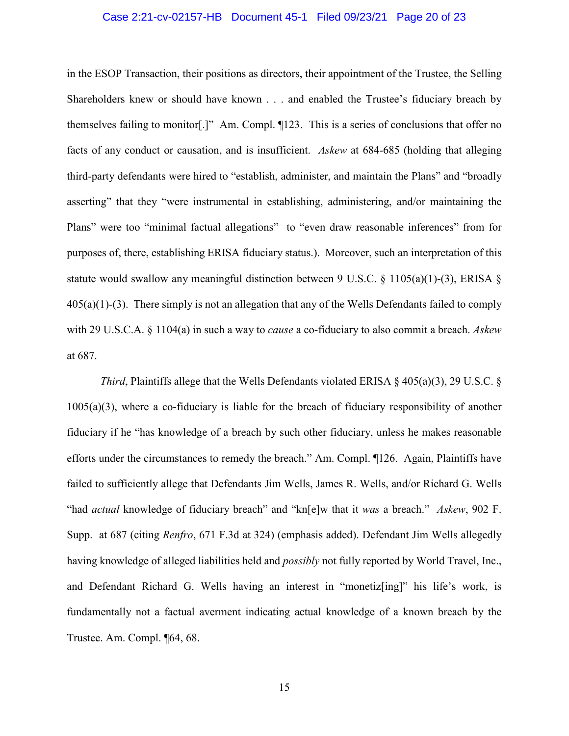#### Case 2:21-cv-02157-HB Document 45-1 Filed 09/23/21 Page 20 of 23

in the ESOP Transaction, their positions as directors, their appointment of the Trustee, the Selling Shareholders knew or should have known . . . and enabled the Trustee's fiduciary breach by themselves failing to monitor[.]" Am. Compl. ¶123. This is a series of conclusions that offer no facts of any conduct or causation, and is insufficient. *Askew* at 684-685 (holding that alleging third-party defendants were hired to "establish, administer, and maintain the Plans" and "broadly asserting" that they "were instrumental in establishing, administering, and/or maintaining the Plans" were too "minimal factual allegations" to "even draw reasonable inferences" from for purposes of, there, establishing ERISA fiduciary status.). Moreover, such an interpretation of this statute would swallow any meaningful distinction between 9 U.S.C. § 1105(a)(1)-(3), ERISA §  $405(a)(1)-(3)$ . There simply is not an allegation that any of the Wells Defendants failed to comply with 29 U.S.C.A. § 1104(a) in such a way to *cause* a co-fiduciary to also commit a breach. *Askew* at 687.

<span id="page-21-1"></span><span id="page-21-0"></span>*Third*, Plaintiffs allege that the Wells Defendants violated ERISA § 405(a)(3), 29 U.S.C. § 1005(a)(3), where a co-fiduciary is liable for the breach of fiduciary responsibility of another fiduciary if he "has knowledge of a breach by such other fiduciary, unless he makes reasonable efforts under the circumstances to remedy the breach." Am. Compl. ¶126. Again, Plaintiffs have failed to sufficiently allege that Defendants Jim Wells, James R. Wells, and/or Richard G. Wells "had *actual* knowledge of fiduciary breach" and "kn[e]w that it *was* a breach." *Askew*, 902 F. Supp. at 687 (citing *Renfro*, 671 F.3d at 324) (emphasis added). Defendant Jim Wells allegedly having knowledge of alleged liabilities held and *possibly* not fully reported by World Travel, Inc., and Defendant Richard G. Wells having an interest in "monetiz[ing]" his life's work, is fundamentally not a factual averment indicating actual knowledge of a known breach by the Trustee. Am. Compl. ¶64, 68.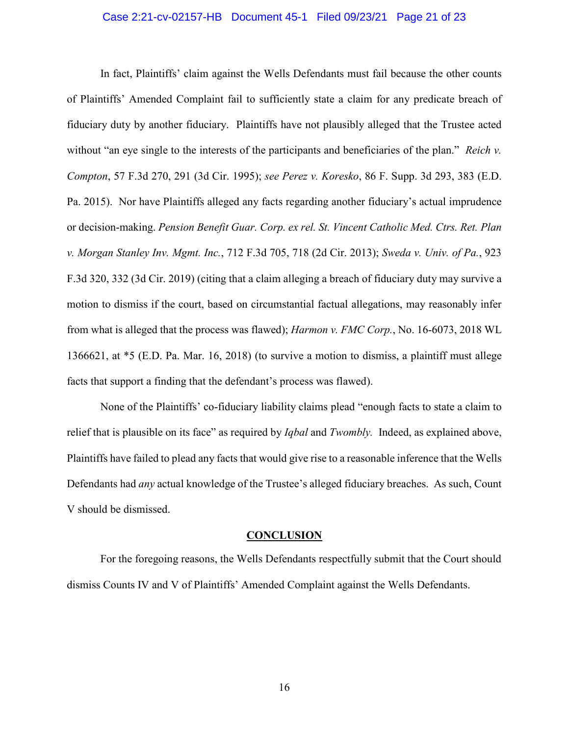#### <span id="page-22-4"></span><span id="page-22-3"></span>Case 2:21-cv-02157-HB Document 45-1 Filed 09/23/21 Page 21 of 23

<span id="page-22-5"></span>In fact, Plaintiffs' claim against the Wells Defendants must fail because the other counts of Plaintiffs' Amended Complaint fail to sufficiently state a claim for any predicate breach of fiduciary duty by another fiduciary. Plaintiffs have not plausibly alleged that the Trustee acted without "an eye single to the interests of the participants and beneficiaries of the plan." *Reich v. Compton*, 57 F.3d 270, 291 (3d Cir. 1995); *see Perez v. Koresko*, 86 F. Supp. 3d 293, 383 (E.D. Pa. 2015). Nor have Plaintiffs alleged any facts regarding another fiduciary's actual imprudence or decision-making. *Pension Benefit Guar. Corp. ex rel. St. Vincent Catholic Med. Ctrs. Ret. Plan v. Morgan Stanley Inv. Mgmt. Inc.*, 712 F.3d 705, 718 (2d Cir. 2013); *Sweda v. Univ. of Pa.*, 923 F.3d 320, 332 (3d Cir. 2019) (citing that a claim alleging a breach of fiduciary duty may survive a motion to dismiss if the court, based on circumstantial factual allegations, may reasonably infer from what is alleged that the process was flawed); *Harmon v. FMC Corp.*, No. 16-6073, 2018 WL 1366621, at \*5 (E.D. Pa. Mar. 16, 2018) (to survive a motion to dismiss, a plaintiff must allege facts that support a finding that the defendant's process was flawed).

None of the Plaintiffs' co-fiduciary liability claims plead "enough facts to state a claim to relief that is plausible on its face" as required by *Iqbal* and *Twombly.* Indeed, as explained above, Plaintiffs have failed to plead any facts that would give rise to a reasonable inference that the Wells Defendants had *any* actual knowledge of the Trustee's alleged fiduciary breaches. As such, Count V should be dismissed.

#### <span id="page-22-6"></span><span id="page-22-2"></span><span id="page-22-1"></span>**CONCLUSION**

<span id="page-22-0"></span>For the foregoing reasons, the Wells Defendants respectfully submit that the Court should dismiss Counts IV and V of Plaintiffs' Amended Complaint against the Wells Defendants.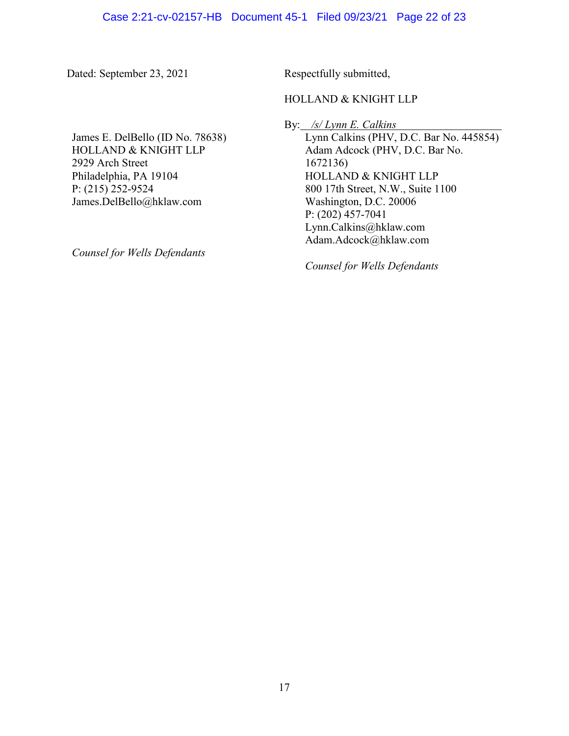Dated: September 23, 2021 Respectfully submitted,

## HOLLAND & KNIGHT LLP

By: */s/ Lynn E. Calkins*

James E. DelBello (ID No. 78638) HOLLAND & KNIGHT LLP 2929 Arch Street Philadelphia, PA 19104 P: (215) 252-9524 James.DelBello@hklaw.com

*Counsel for Wells Defendants*

Lynn Calkins (PHV, D.C. Bar No. 445854) Adam Adcock (PHV, D.C. Bar No. 1672136) HOLLAND & KNIGHT LLP 800 17th Street, N.W., Suite 1100 Washington, D.C. 20006 P: (202) 457-7041 Lynn.Calkins@hklaw.com Adam.Adcock@hklaw.com

*Counsel for Wells Defendants*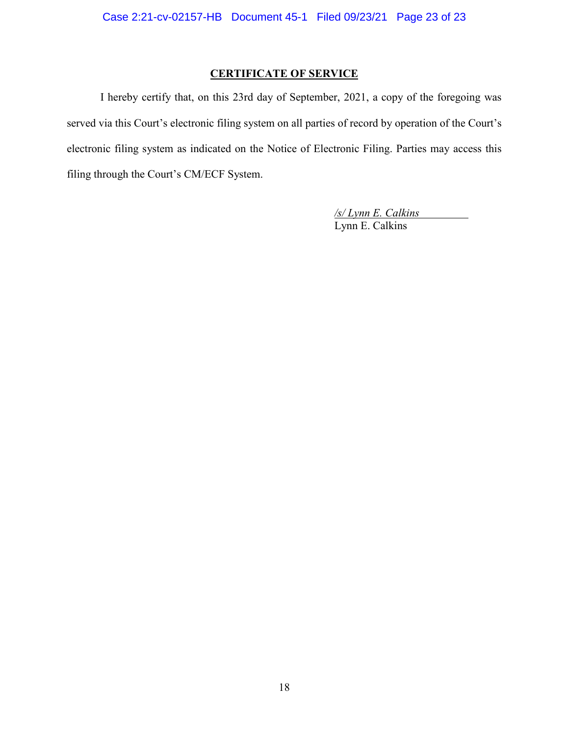# **CERTIFICATE OF SERVICE**

I hereby certify that, on this 23rd day of September, 2021, a copy of the foregoing was served via this Court's electronic filing system on all parties of record by operation of the Court's electronic filing system as indicated on the Notice of Electronic Filing. Parties may access this filing through the Court's CM/ECF System.

> */s/ Lynn E. Calkins* Lynn E. Calkins